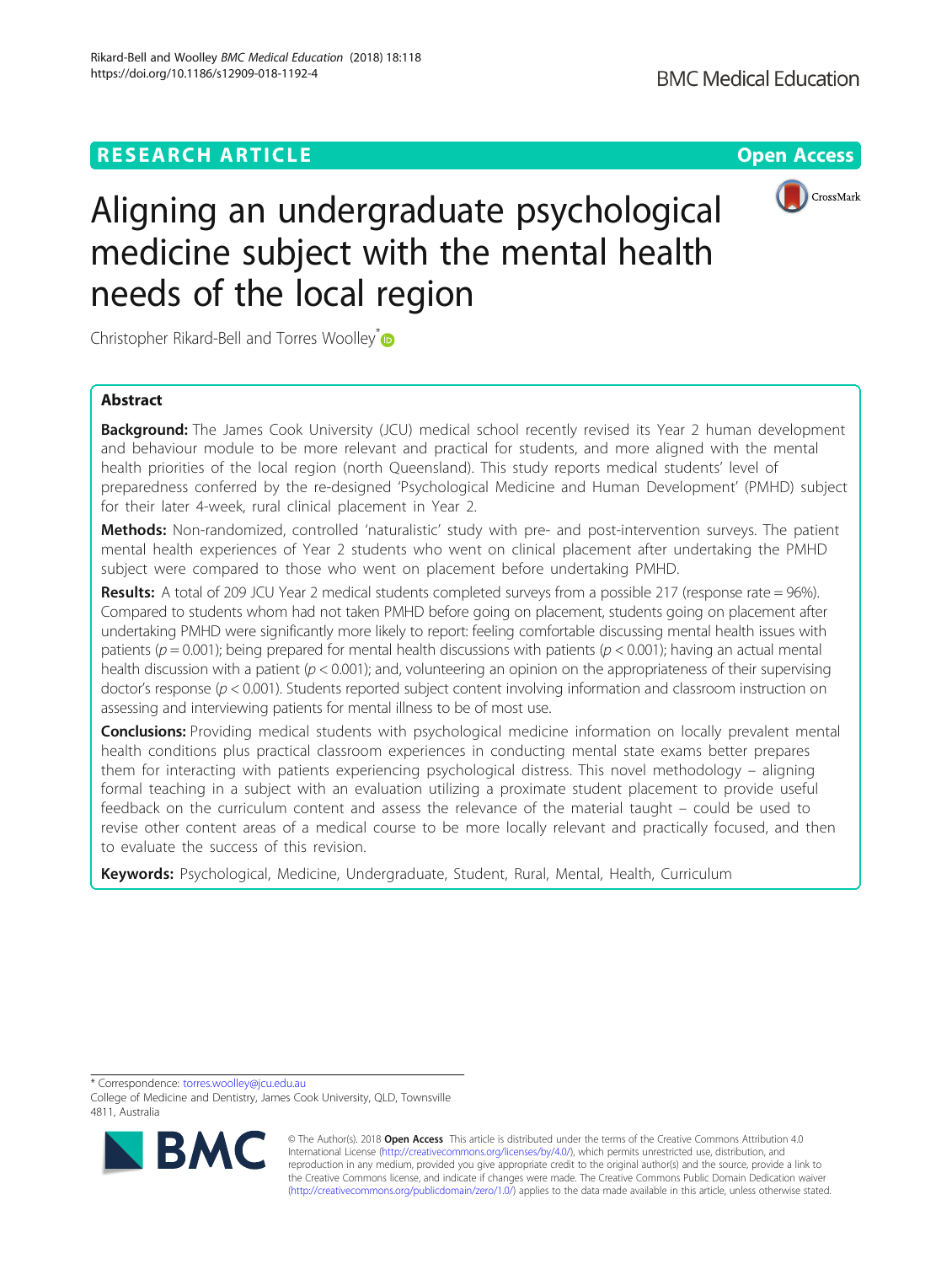

# Aligning an undergraduate psychological medicine subject with the mental health needs of the local region

Christopher Rikard-Bell and Torres Woolley<sup>[\\*](http://orcid.org/0000-0002-8892-1941)</sup>

# Abstract

**Background:** The James Cook University (JCU) medical school recently revised its Year 2 human development and behaviour module to be more relevant and practical for students, and more aligned with the mental health priorities of the local region (north Queensland). This study reports medical students' level of preparedness conferred by the re-designed 'Psychological Medicine and Human Development' (PMHD) subject for their later 4-week, rural clinical placement in Year 2.

Methods: Non-randomized, controlled 'naturalistic' study with pre- and post-intervention surveys. The patient mental health experiences of Year 2 students who went on clinical placement after undertaking the PMHD subject were compared to those who went on placement before undertaking PMHD.

Results: A total of 209 JCU Year 2 medical students completed surveys from a possible 217 (response rate = 96%). Compared to students whom had not taken PMHD before going on placement, students going on placement after undertaking PMHD were significantly more likely to report: feeling comfortable discussing mental health issues with patients ( $p = 0.001$ ); being prepared for mental health discussions with patients ( $p < 0.001$ ); having an actual mental health discussion with a patient ( $p < 0.001$ ); and, volunteering an opinion on the appropriateness of their supervising doctor's response ( $p < 0.001$ ). Students reported subject content involving information and classroom instruction on assessing and interviewing patients for mental illness to be of most use.

Conclusions: Providing medical students with psychological medicine information on locally prevalent mental health conditions plus practical classroom experiences in conducting mental state exams better prepares them for interacting with patients experiencing psychological distress. This novel methodology – aligning formal teaching in a subject with an evaluation utilizing a proximate student placement to provide useful feedback on the curriculum content and assess the relevance of the material taught – could be used to revise other content areas of a medical course to be more locally relevant and practically focused, and then to evaluate the success of this revision.

Keywords: Psychological, Medicine, Undergraduate, Student, Rural, Mental, Health, Curriculum

\* Correspondence: [torres.woolley@jcu.edu.au](mailto:torres.woolley@jcu.edu.au)

College of Medicine and Dentistry, James Cook University, QLD, Townsville 4811, Australia



© The Author(s). 2018 Open Access This article is distributed under the terms of the Creative Commons Attribution 4.0 International License [\(http://creativecommons.org/licenses/by/4.0/](http://creativecommons.org/licenses/by/4.0/)), which permits unrestricted use, distribution, and reproduction in any medium, provided you give appropriate credit to the original author(s) and the source, provide a link to the Creative Commons license, and indicate if changes were made. The Creative Commons Public Domain Dedication waiver [\(http://creativecommons.org/publicdomain/zero/1.0/](http://creativecommons.org/publicdomain/zero/1.0/)) applies to the data made available in this article, unless otherwise stated.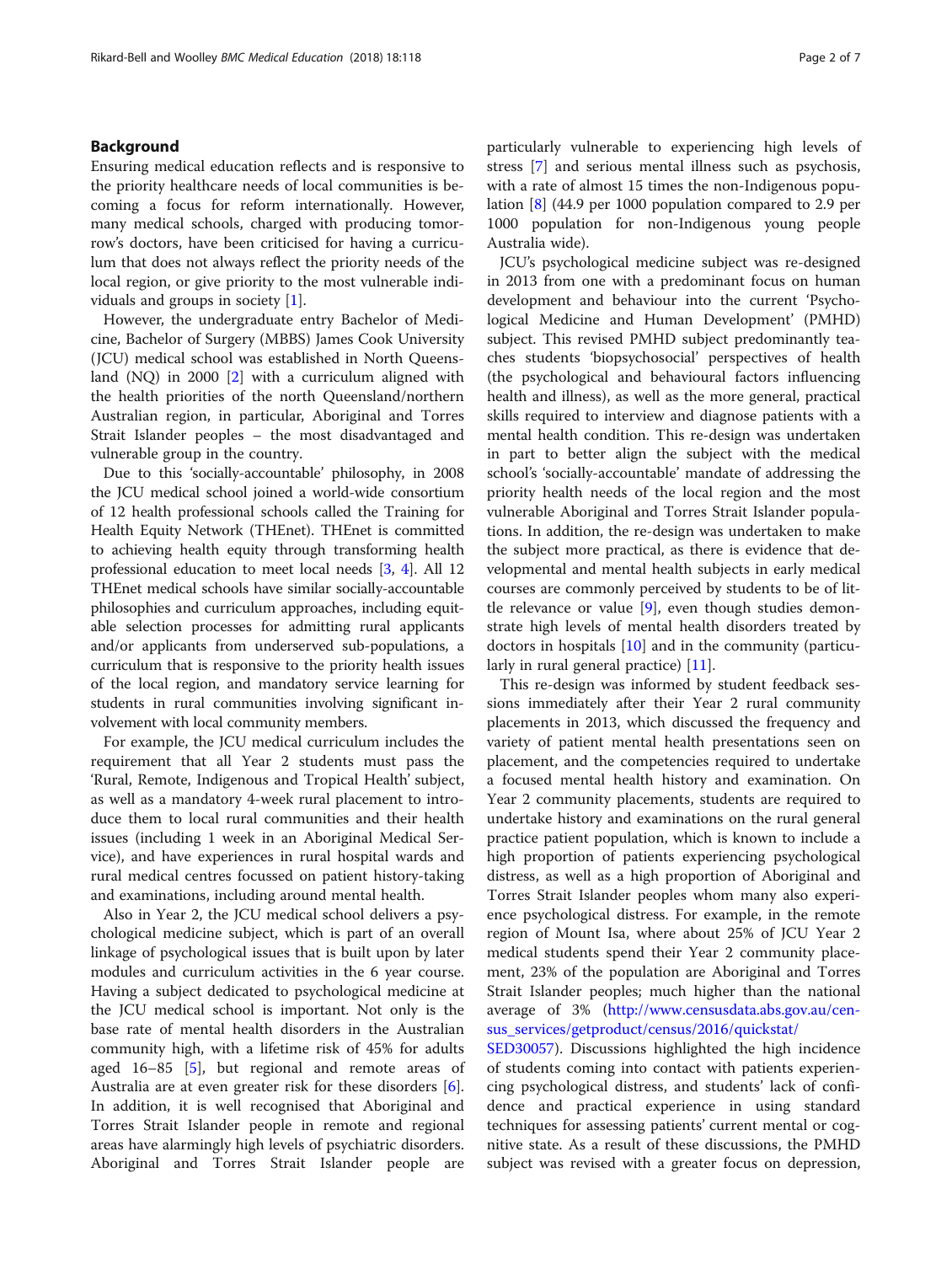## Background

Ensuring medical education reflects and is responsive to the priority healthcare needs of local communities is becoming a focus for reform internationally. However, many medical schools, charged with producing tomorrow's doctors, have been criticised for having a curriculum that does not always reflect the priority needs of the local region, or give priority to the most vulnerable individuals and groups in society [[1](#page-6-0)].

However, the undergraduate entry Bachelor of Medicine, Bachelor of Surgery (MBBS) James Cook University (JCU) medical school was established in North Queensland (NQ) in 2000 [[2\]](#page-6-0) with a curriculum aligned with the health priorities of the north Queensland/northern Australian region, in particular, Aboriginal and Torres Strait Islander peoples – the most disadvantaged and vulnerable group in the country.

Due to this 'socially-accountable' philosophy, in 2008 the JCU medical school joined a world-wide consortium of 12 health professional schools called the Training for Health Equity Network (THEnet). THEnet is committed to achieving health equity through transforming health professional education to meet local needs [\[3,](#page-6-0) [4\]](#page-6-0). All 12 THEnet medical schools have similar socially-accountable philosophies and curriculum approaches, including equitable selection processes for admitting rural applicants and/or applicants from underserved sub-populations, a curriculum that is responsive to the priority health issues of the local region, and mandatory service learning for students in rural communities involving significant involvement with local community members.

For example, the JCU medical curriculum includes the requirement that all Year 2 students must pass the 'Rural, Remote, Indigenous and Tropical Health' subject, as well as a mandatory 4-week rural placement to introduce them to local rural communities and their health issues (including 1 week in an Aboriginal Medical Service), and have experiences in rural hospital wards and rural medical centres focussed on patient history-taking and examinations, including around mental health.

Also in Year 2, the JCU medical school delivers a psychological medicine subject, which is part of an overall linkage of psychological issues that is built upon by later modules and curriculum activities in the 6 year course. Having a subject dedicated to psychological medicine at the JCU medical school is important. Not only is the base rate of mental health disorders in the Australian community high, with a lifetime risk of 45% for adults aged 16–85 [\[5](#page-6-0)], but regional and remote areas of Australia are at even greater risk for these disorders [\[6](#page-6-0)]. In addition, it is well recognised that Aboriginal and Torres Strait Islander people in remote and regional areas have alarmingly high levels of psychiatric disorders. Aboriginal and Torres Strait Islander people are particularly vulnerable to experiencing high levels of stress [[7\]](#page-6-0) and serious mental illness such as psychosis, with a rate of almost 15 times the non-Indigenous population [\[8](#page-6-0)] (44.9 per 1000 population compared to 2.9 per 1000 population for non-Indigenous young people Australia wide).

JCU's psychological medicine subject was re-designed in 2013 from one with a predominant focus on human development and behaviour into the current 'Psychological Medicine and Human Development' (PMHD) subject. This revised PMHD subject predominantly teaches students 'biopsychosocial' perspectives of health (the psychological and behavioural factors influencing health and illness), as well as the more general, practical skills required to interview and diagnose patients with a mental health condition. This re-design was undertaken in part to better align the subject with the medical school's 'socially-accountable' mandate of addressing the priority health needs of the local region and the most vulnerable Aboriginal and Torres Strait Islander populations. In addition, the re-design was undertaken to make the subject more practical, as there is evidence that developmental and mental health subjects in early medical courses are commonly perceived by students to be of little relevance or value [\[9](#page-6-0)], even though studies demonstrate high levels of mental health disorders treated by doctors in hospitals [[10](#page-6-0)] and in the community (particu-larly in rural general practice) [[11\]](#page-6-0).

This re-design was informed by student feedback sessions immediately after their Year 2 rural community placements in 2013, which discussed the frequency and variety of patient mental health presentations seen on placement, and the competencies required to undertake a focused mental health history and examination. On Year 2 community placements, students are required to undertake history and examinations on the rural general practice patient population, which is known to include a high proportion of patients experiencing psychological distress, as well as a high proportion of Aboriginal and Torres Strait Islander peoples whom many also experience psychological distress. For example, in the remote region of Mount Isa, where about 25% of JCU Year 2 medical students spend their Year 2 community placement, 23% of the population are Aboriginal and Torres Strait Islander peoples; much higher than the national average of 3% [\(http://www.censusdata.abs.gov.au/cen](http://www.censusdata.abs.gov.au/census_services/getproduct/census/2016/quickstat/SED30057)[sus\\_services/getproduct/census/2016/quickstat/](http://www.censusdata.abs.gov.au/census_services/getproduct/census/2016/quickstat/SED30057)

[SED30057\)](http://www.censusdata.abs.gov.au/census_services/getproduct/census/2016/quickstat/SED30057). Discussions highlighted the high incidence of students coming into contact with patients experiencing psychological distress, and students' lack of confidence and practical experience in using standard techniques for assessing patients' current mental or cognitive state. As a result of these discussions, the PMHD subject was revised with a greater focus on depression,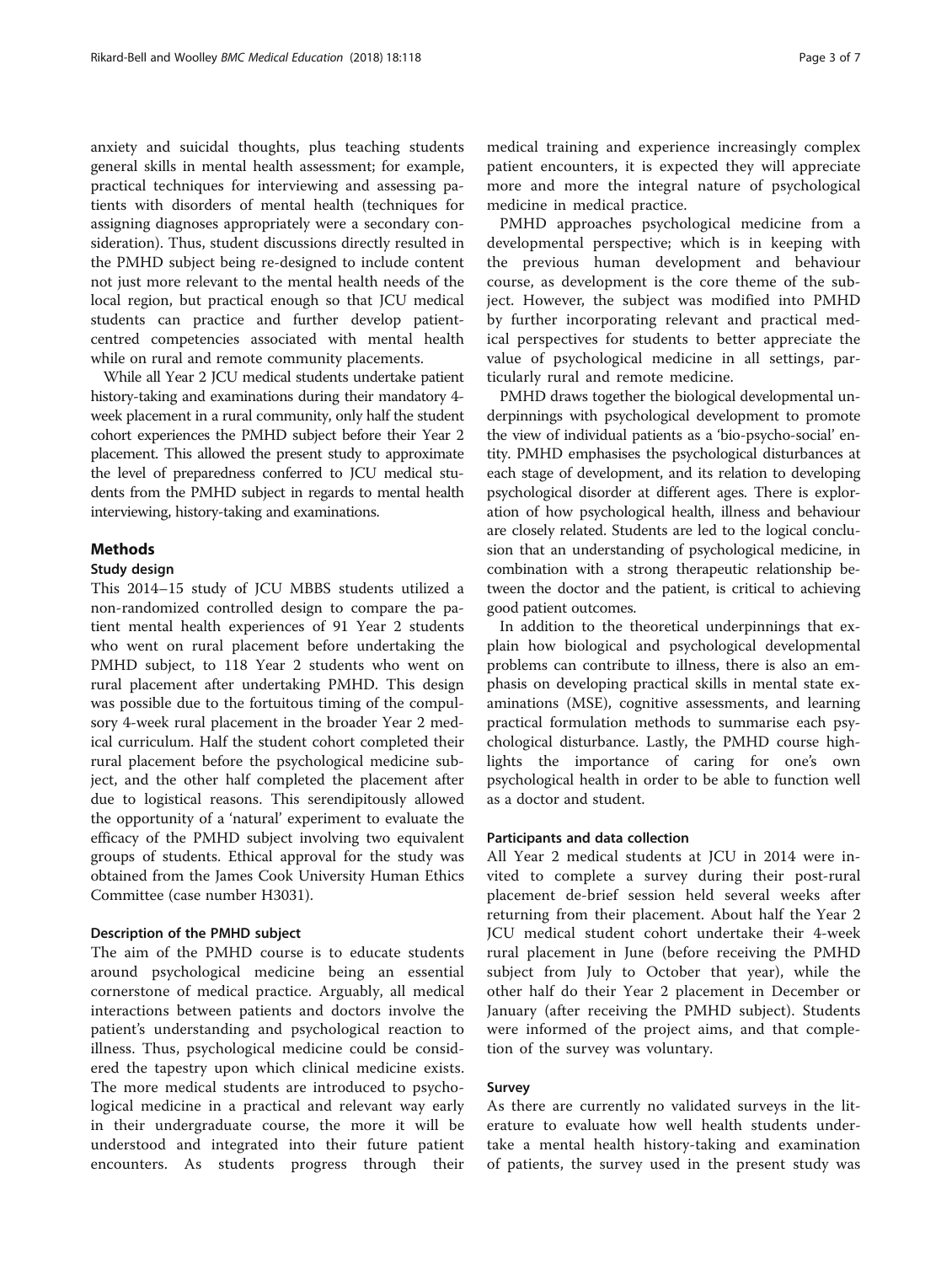anxiety and suicidal thoughts, plus teaching students general skills in mental health assessment; for example, practical techniques for interviewing and assessing patients with disorders of mental health (techniques for assigning diagnoses appropriately were a secondary consideration). Thus, student discussions directly resulted in the PMHD subject being re-designed to include content not just more relevant to the mental health needs of the local region, but practical enough so that JCU medical students can practice and further develop patientcentred competencies associated with mental health while on rural and remote community placements.

While all Year 2 JCU medical students undertake patient history-taking and examinations during their mandatory 4 week placement in a rural community, only half the student cohort experiences the PMHD subject before their Year 2 placement. This allowed the present study to approximate the level of preparedness conferred to JCU medical students from the PMHD subject in regards to mental health interviewing, history-taking and examinations.

# **Methods**

## Study design

This 2014–15 study of JCU MBBS students utilized a non-randomized controlled design to compare the patient mental health experiences of 91 Year 2 students who went on rural placement before undertaking the PMHD subject, to 118 Year 2 students who went on rural placement after undertaking PMHD. This design was possible due to the fortuitous timing of the compulsory 4-week rural placement in the broader Year 2 medical curriculum. Half the student cohort completed their rural placement before the psychological medicine subject, and the other half completed the placement after due to logistical reasons. This serendipitously allowed the opportunity of a 'natural' experiment to evaluate the efficacy of the PMHD subject involving two equivalent groups of students. Ethical approval for the study was obtained from the James Cook University Human Ethics Committee (case number H3031).

## Description of the PMHD subject

The aim of the PMHD course is to educate students around psychological medicine being an essential cornerstone of medical practice. Arguably, all medical interactions between patients and doctors involve the patient's understanding and psychological reaction to illness. Thus, psychological medicine could be considered the tapestry upon which clinical medicine exists. The more medical students are introduced to psychological medicine in a practical and relevant way early in their undergraduate course, the more it will be understood and integrated into their future patient encounters. As students progress through their medical training and experience increasingly complex patient encounters, it is expected they will appreciate more and more the integral nature of psychological medicine in medical practice.

PMHD approaches psychological medicine from a developmental perspective; which is in keeping with the previous human development and behaviour course, as development is the core theme of the subject. However, the subject was modified into PMHD by further incorporating relevant and practical medical perspectives for students to better appreciate the value of psychological medicine in all settings, particularly rural and remote medicine.

PMHD draws together the biological developmental underpinnings with psychological development to promote the view of individual patients as a 'bio-psycho-social' entity. PMHD emphasises the psychological disturbances at each stage of development, and its relation to developing psychological disorder at different ages. There is exploration of how psychological health, illness and behaviour are closely related. Students are led to the logical conclusion that an understanding of psychological medicine, in combination with a strong therapeutic relationship between the doctor and the patient, is critical to achieving good patient outcomes.

In addition to the theoretical underpinnings that explain how biological and psychological developmental problems can contribute to illness, there is also an emphasis on developing practical skills in mental state examinations (MSE), cognitive assessments, and learning practical formulation methods to summarise each psychological disturbance. Lastly, the PMHD course highlights the importance of caring for one's own psychological health in order to be able to function well as a doctor and student.

## Participants and data collection

All Year 2 medical students at JCU in 2014 were invited to complete a survey during their post-rural placement de-brief session held several weeks after returning from their placement. About half the Year 2 JCU medical student cohort undertake their 4-week rural placement in June (before receiving the PMHD subject from July to October that year), while the other half do their Year 2 placement in December or January (after receiving the PMHD subject). Students were informed of the project aims, and that completion of the survey was voluntary.

## Survey

As there are currently no validated surveys in the literature to evaluate how well health students undertake a mental health history-taking and examination of patients, the survey used in the present study was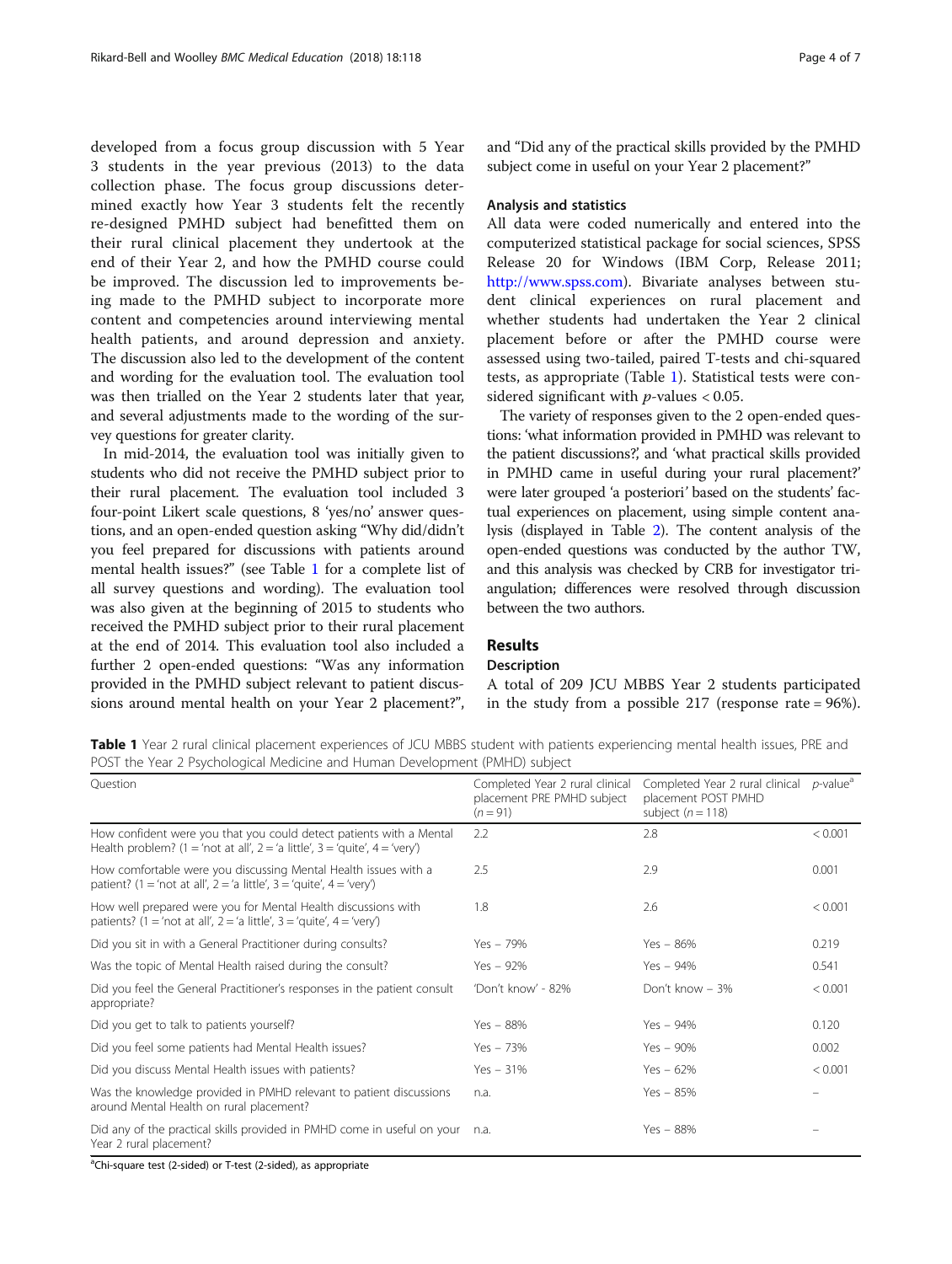<span id="page-3-0"></span>developed from a focus group discussion with 5 Year 3 students in the year previous (2013) to the data collection phase. The focus group discussions determined exactly how Year 3 students felt the recently re-designed PMHD subject had benefitted them on their rural clinical placement they undertook at the end of their Year 2, and how the PMHD course could be improved. The discussion led to improvements being made to the PMHD subject to incorporate more content and competencies around interviewing mental health patients, and around depression and anxiety. The discussion also led to the development of the content and wording for the evaluation tool. The evaluation tool was then trialled on the Year 2 students later that year, and several adjustments made to the wording of the survey questions for greater clarity.

In mid-2014, the evaluation tool was initially given to students who did not receive the PMHD subject prior to their rural placement. The evaluation tool included 3 four-point Likert scale questions, 8 'yes/no' answer questions, and an open-ended question asking "Why did/didn't you feel prepared for discussions with patients around mental health issues?" (see Table 1 for a complete list of all survey questions and wording). The evaluation tool was also given at the beginning of 2015 to students who received the PMHD subject prior to their rural placement at the end of 2014. This evaluation tool also included a further 2 open-ended questions: "Was any information provided in the PMHD subject relevant to patient discussions around mental health on your Year 2 placement?",

and "Did any of the practical skills provided by the PMHD subject come in useful on your Year 2 placement?"

## Analysis and statistics

All data were coded numerically and entered into the computerized statistical package for social sciences, SPSS Release 20 for Windows (IBM Corp, Release 2011; [http://www.spss.com\)](http://www.spss.com). Bivariate analyses between student clinical experiences on rural placement and whether students had undertaken the Year 2 clinical placement before or after the PMHD course were assessed using two-tailed, paired T-tests and chi-squared tests, as appropriate (Table 1). Statistical tests were considered significant with  $p$ -values < 0.05.

The variety of responses given to the 2 open-ended questions: 'what information provided in PMHD was relevant to the patient discussions?', and 'what practical skills provided in PMHD came in useful during your rural placement?' were later grouped 'a posteriori' based on the students' factual experiences on placement, using simple content analysis (displayed in Table [2](#page-4-0)). The content analysis of the open-ended questions was conducted by the author TW, and this analysis was checked by CRB for investigator triangulation; differences were resolved through discussion between the two authors.

# Results

## Description

A total of 209 JCU MBBS Year 2 students participated in the study from a possible 217 (response rate = 96%).

Table 1 Year 2 rural clinical placement experiences of JCU MBBS student with patients experiencing mental health issues, PRE and POST the Year 2 Psychological Medicine and Human Development (PMHD) subject

| Ouestion                                                                                                                                           | Completed Year 2 rural clinical<br>placement PRE PMHD subject<br>$(n = 91)$ | Completed Year 2 rural clinical<br>placement POST PMHD<br>subject $(n = 118)$ | $p$ -value <sup>a</sup> |
|----------------------------------------------------------------------------------------------------------------------------------------------------|-----------------------------------------------------------------------------|-------------------------------------------------------------------------------|-------------------------|
| How confident were you that you could detect patients with a Mental<br>Health problem? (1 = 'not at all', 2 = 'a little', 3 = 'quite', 4 = 'very') | 2.2                                                                         | 2.8                                                                           | < 0.001                 |
| How comfortable were you discussing Mental Health issues with a<br>patient? (1 = 'not at all', 2 = 'a little', 3 = 'quite', 4 = 'very')            | 2.5                                                                         | 2.9                                                                           | 0.001                   |
| How well prepared were you for Mental Health discussions with<br>patients? (1 = 'not at all', 2 = 'a little', 3 = 'quite', 4 = 'very')             | 1.8                                                                         | 2.6                                                                           | < 0.001                 |
| Did you sit in with a General Practitioner during consults?                                                                                        | $Yes - 79\%$                                                                | $Yes - 86%$                                                                   | 0.219                   |
| Was the topic of Mental Health raised during the consult?                                                                                          | $Yes - 92\%$                                                                | $Yes - 94%$                                                                   | 0.541                   |
| Did you feel the General Practitioner's responses in the patient consult<br>appropriate?                                                           | 'Don't know' - 82%                                                          | Don't know - 3%                                                               | < 0.001                 |
| Did you get to talk to patients yourself?                                                                                                          | $Yes - 88%$                                                                 | $Yes - 94\%$                                                                  | 0.120                   |
| Did you feel some patients had Mental Health issues?                                                                                               | $Yes - 73%$                                                                 | $Yes - 90\%$                                                                  | 0.002                   |
| Did you discuss Mental Health issues with patients?                                                                                                | $Yes - 31%$                                                                 | $Yes - 62%$                                                                   | < 0.001                 |
| Was the knowledge provided in PMHD relevant to patient discussions<br>around Mental Health on rural placement?                                     | n.a.                                                                        | $Yes - 85%$                                                                   |                         |
| Did any of the practical skills provided in PMHD come in useful on your<br>Year 2 rural placement?                                                 | n.a.                                                                        | Yes - 88%                                                                     |                         |

<sup>a</sup>Chi-square test (2-sided) or T-test (2-sided), as appropriate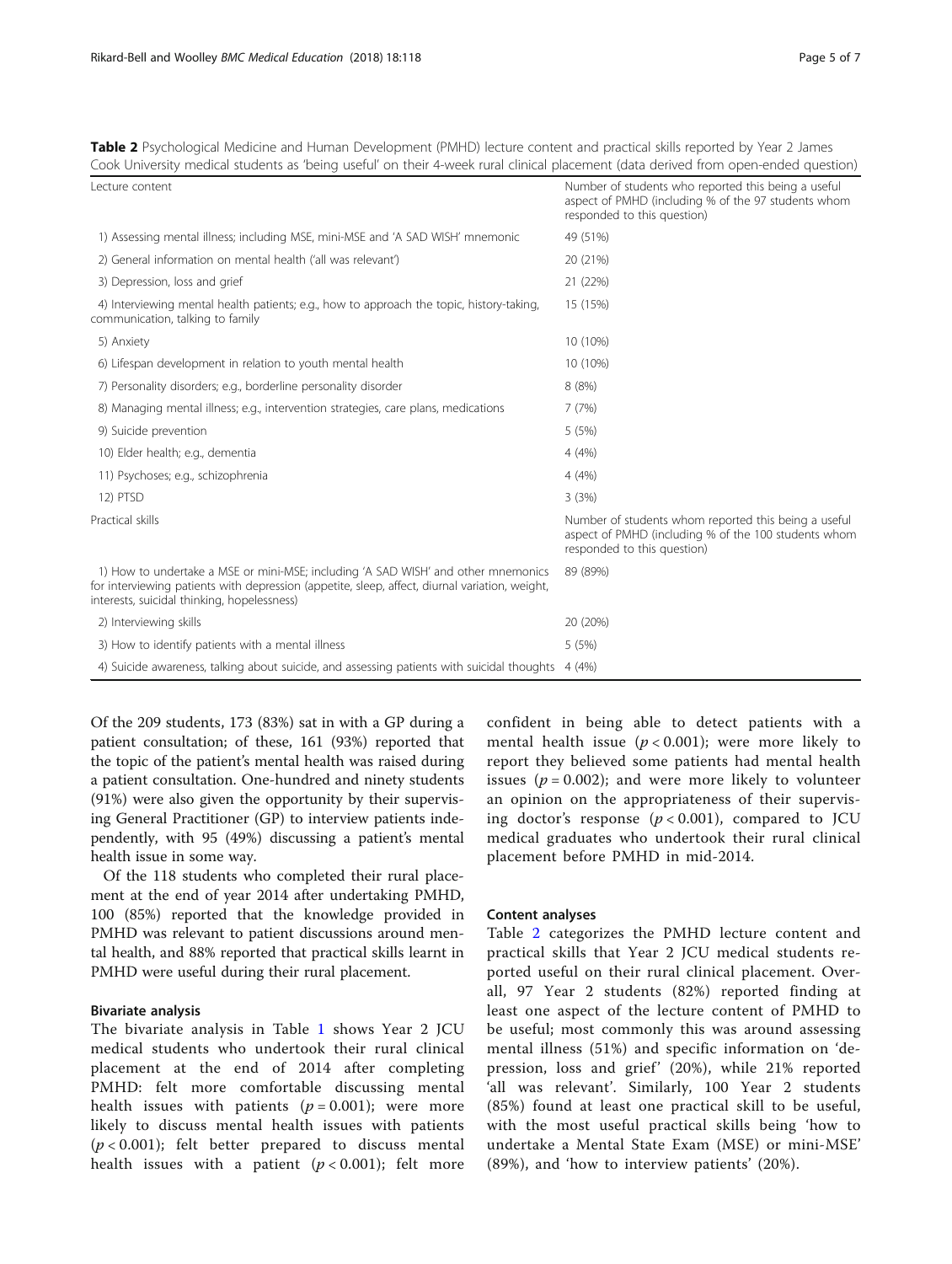<span id="page-4-0"></span>Table 2 Psychological Medicine and Human Development (PMHD) lecture content and practical skills reported by Year 2 James Cook University medical students as 'being useful' on their 4-week rural clinical placement (data derived from open-ended question)

| Lecture content                                                                                                                                                                                                                    | Number of students who reported this being a useful<br>aspect of PMHD (including % of the 97 students whom<br>responded to this question)   |
|------------------------------------------------------------------------------------------------------------------------------------------------------------------------------------------------------------------------------------|---------------------------------------------------------------------------------------------------------------------------------------------|
| 1) Assessing mental illness; including MSE, mini-MSE and 'A SAD WISH' mnemonic                                                                                                                                                     | 49 (51%)                                                                                                                                    |
| 2) General information on mental health ('all was relevant')                                                                                                                                                                       | 20 (21%)                                                                                                                                    |
| 3) Depression, loss and grief                                                                                                                                                                                                      | 21 (22%)                                                                                                                                    |
| 4) Interviewing mental health patients; e.g., how to approach the topic, history-taking,<br>communication, talking to family                                                                                                       | 15 (15%)                                                                                                                                    |
| 5) Anxiety                                                                                                                                                                                                                         | 10 (10%)                                                                                                                                    |
| 6) Lifespan development in relation to youth mental health                                                                                                                                                                         | 10 (10%)                                                                                                                                    |
| 7) Personality disorders; e.g., borderline personality disorder                                                                                                                                                                    | 8(8%)                                                                                                                                       |
| 8) Managing mental illness; e.g., intervention strategies, care plans, medications                                                                                                                                                 | 7(7%)                                                                                                                                       |
| 9) Suicide prevention                                                                                                                                                                                                              | 5(5%)                                                                                                                                       |
| 10) Elder health; e.g., dementia                                                                                                                                                                                                   | 4(4%)                                                                                                                                       |
| 11) Psychoses; e.g., schizophrenia                                                                                                                                                                                                 | 4(4%)                                                                                                                                       |
| 12) PTSD                                                                                                                                                                                                                           | 3(3%)                                                                                                                                       |
| Practical skills                                                                                                                                                                                                                   | Number of students whom reported this being a useful<br>aspect of PMHD (including % of the 100 students whom<br>responded to this question) |
| 1) How to undertake a MSE or mini-MSE; including 'A SAD WISH' and other mnemonics<br>for interviewing patients with depression (appetite, sleep, affect, diurnal variation, weight,<br>interests, suicidal thinking, hopelessness) | 89 (89%)                                                                                                                                    |
| 2) Interviewing skills                                                                                                                                                                                                             | 20 (20%)                                                                                                                                    |
| 3) How to identify patients with a mental illness                                                                                                                                                                                  | 5(5%)                                                                                                                                       |
| 4) Suicide awareness, talking about suicide, and assessing patients with suicidal thoughts 4 (4%)                                                                                                                                  |                                                                                                                                             |

Of the 209 students, 173 (83%) sat in with a GP during a patient consultation; of these, 161 (93%) reported that the topic of the patient's mental health was raised during a patient consultation. One-hundred and ninety students (91%) were also given the opportunity by their supervising General Practitioner (GP) to interview patients independently, with 95 (49%) discussing a patient's mental health issue in some way.

Of the 118 students who completed their rural placement at the end of year 2014 after undertaking PMHD, 100 (85%) reported that the knowledge provided in PMHD was relevant to patient discussions around mental health, and 88% reported that practical skills learnt in PMHD were useful during their rural placement.

# Bivariate analysis

The bivariate analysis in Table [1](#page-3-0) shows Year 2 JCU medical students who undertook their rural clinical placement at the end of 2014 after completing PMHD: felt more comfortable discussing mental health issues with patients ( $p = 0.001$ ); were more likely to discuss mental health issues with patients  $(p < 0.001)$ ; felt better prepared to discuss mental health issues with a patient  $(p < 0.001)$ ; felt more

confident in being able to detect patients with a mental health issue ( $p < 0.001$ ); were more likely to report they believed some patients had mental health issues ( $p = 0.002$ ); and were more likely to volunteer an opinion on the appropriateness of their supervising doctor's response  $(p < 0.001)$ , compared to JCU medical graduates who undertook their rural clinical placement before PMHD in mid-2014.

# Content analyses

Table 2 categorizes the PMHD lecture content and practical skills that Year 2 JCU medical students reported useful on their rural clinical placement. Overall, 97 Year 2 students (82%) reported finding at least one aspect of the lecture content of PMHD to be useful; most commonly this was around assessing mental illness (51%) and specific information on 'depression, loss and grief' (20%), while 21% reported 'all was relevant'. Similarly, 100 Year 2 students (85%) found at least one practical skill to be useful, with the most useful practical skills being 'how to undertake a Mental State Exam (MSE) or mini-MSE' (89%), and 'how to interview patients' (20%).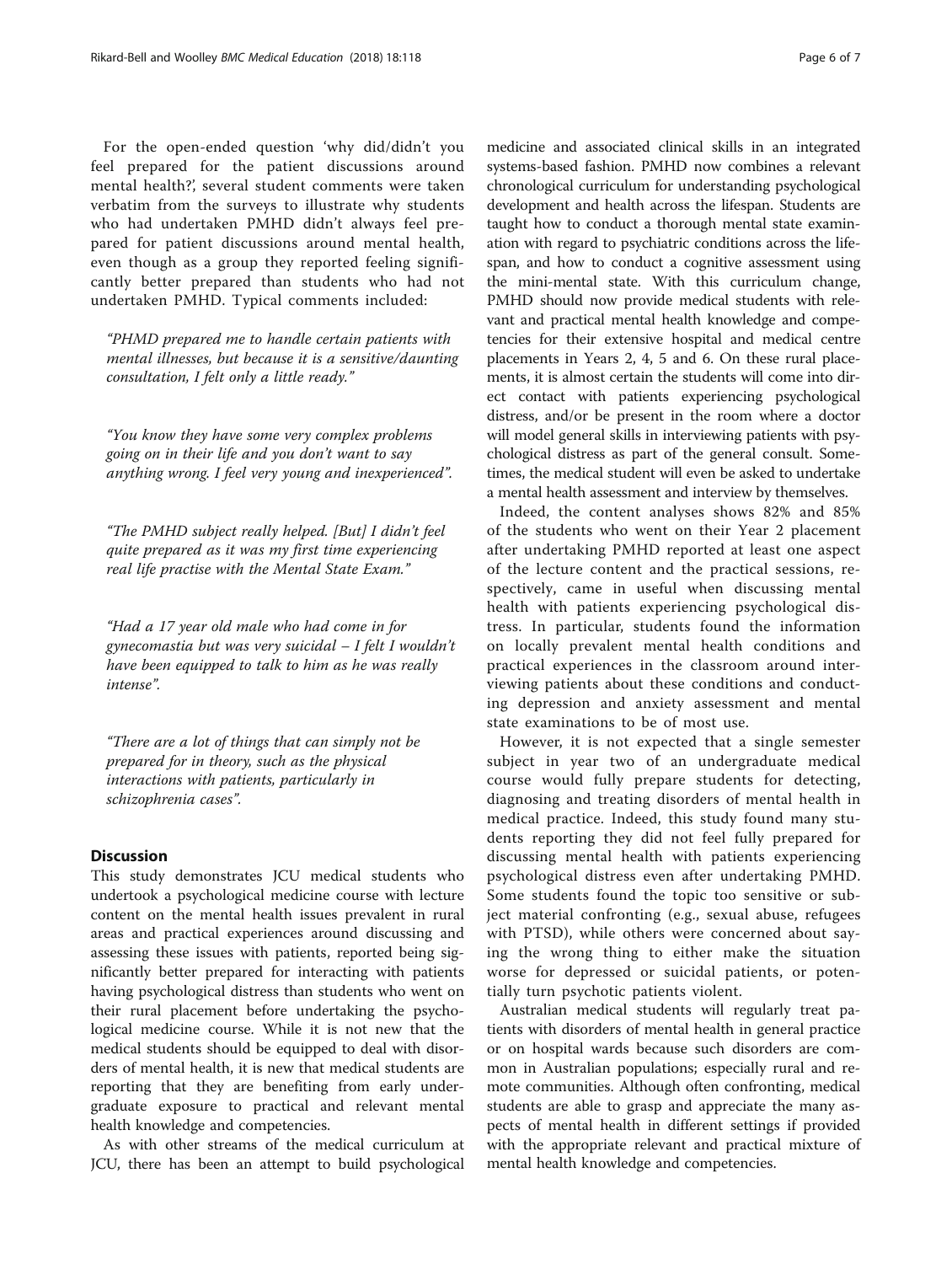For the open-ended question 'why did/didn't you feel prepared for the patient discussions around mental health?', several student comments were taken verbatim from the surveys to illustrate why students who had undertaken PMHD didn't always feel prepared for patient discussions around mental health, even though as a group they reported feeling significantly better prepared than students who had not undertaken PMHD. Typical comments included:

"PHMD prepared me to handle certain patients with mental illnesses, but because it is a sensitive/daunting consultation, I felt only a little ready."

"You know they have some very complex problems going on in their life and you don't want to say anything wrong. I feel very young and inexperienced".

"The PMHD subject really helped. [But] I didn't feel quite prepared as it was my first time experiencing real life practise with the Mental State Exam."

"Had a 17 year old male who had come in for gynecomastia but was very suicidal – I felt I wouldn't have been equipped to talk to him as he was really intense".

"There are a lot of things that can simply not be prepared for in theory, such as the physical interactions with patients, particularly in schizophrenia cases".

## **Discussion**

This study demonstrates JCU medical students who undertook a psychological medicine course with lecture content on the mental health issues prevalent in rural areas and practical experiences around discussing and assessing these issues with patients, reported being significantly better prepared for interacting with patients having psychological distress than students who went on their rural placement before undertaking the psychological medicine course. While it is not new that the medical students should be equipped to deal with disorders of mental health, it is new that medical students are reporting that they are benefiting from early undergraduate exposure to practical and relevant mental health knowledge and competencies.

As with other streams of the medical curriculum at JCU, there has been an attempt to build psychological

medicine and associated clinical skills in an integrated systems-based fashion. PMHD now combines a relevant chronological curriculum for understanding psychological development and health across the lifespan. Students are taught how to conduct a thorough mental state examination with regard to psychiatric conditions across the lifespan, and how to conduct a cognitive assessment using the mini-mental state. With this curriculum change, PMHD should now provide medical students with relevant and practical mental health knowledge and competencies for their extensive hospital and medical centre placements in Years 2, 4, 5 and 6. On these rural placements, it is almost certain the students will come into direct contact with patients experiencing psychological distress, and/or be present in the room where a doctor will model general skills in interviewing patients with psychological distress as part of the general consult. Sometimes, the medical student will even be asked to undertake a mental health assessment and interview by themselves.

Indeed, the content analyses shows 82% and 85% of the students who went on their Year 2 placement after undertaking PMHD reported at least one aspect of the lecture content and the practical sessions, respectively, came in useful when discussing mental health with patients experiencing psychological distress. In particular, students found the information on locally prevalent mental health conditions and practical experiences in the classroom around interviewing patients about these conditions and conducting depression and anxiety assessment and mental state examinations to be of most use.

However, it is not expected that a single semester subject in year two of an undergraduate medical course would fully prepare students for detecting, diagnosing and treating disorders of mental health in medical practice. Indeed, this study found many students reporting they did not feel fully prepared for discussing mental health with patients experiencing psychological distress even after undertaking PMHD. Some students found the topic too sensitive or subject material confronting (e.g., sexual abuse, refugees with PTSD), while others were concerned about saying the wrong thing to either make the situation worse for depressed or suicidal patients, or potentially turn psychotic patients violent.

Australian medical students will regularly treat patients with disorders of mental health in general practice or on hospital wards because such disorders are common in Australian populations; especially rural and remote communities. Although often confronting, medical students are able to grasp and appreciate the many aspects of mental health in different settings if provided with the appropriate relevant and practical mixture of mental health knowledge and competencies.